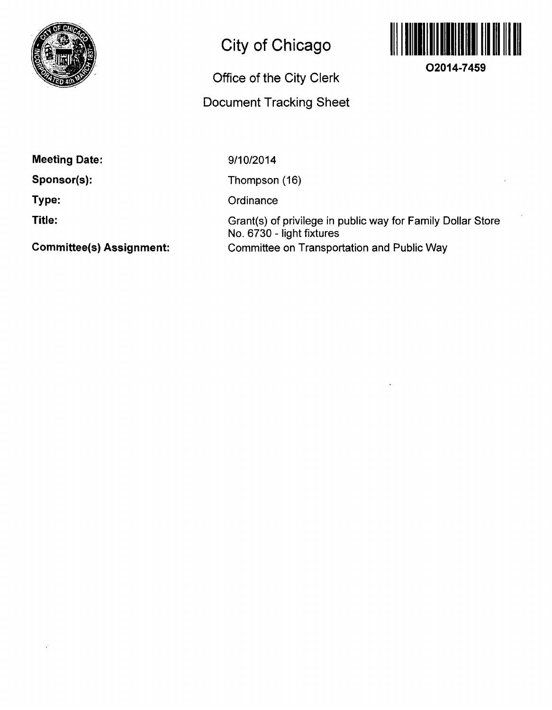

## **City of Chicago**

## **Office of the City Clerk**

## **Docunnent Tracking Sheet**



**O2014-7459** 

**Meeting Date:** 

**Sponsor(s):** 

**Type:** 

**Title:** 

9/10/2014

Thompson (16)

**Ordinance** 

Grant(s) of privilege in public way for Family Dollar Store No. 6730 - light fixtures Committee on Transportation and Public Way

**Committee(s) Assignment:**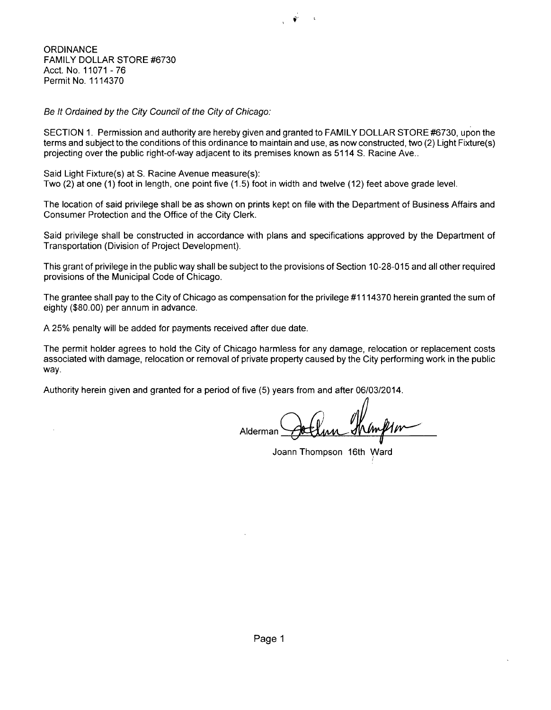**ORDINANCE** FAMILY DOLLAR STORE #6730 Acct. No. 11071 -76 Permit No. 1114370

Be It Ordained by the City Council of the City of Chicago:

SECTION 1. Permission and authority are hereby given and granted to FAMILY DOLLAR STORE #6730, upon the terms and subject to the conditions of this ordinance to maintain and use, as now constructed, two (2) Light Fixture(s) projecting over the public right-of-way adjacent to its premises known as 5114 S. Racine Ave..

Said Light Fixture(s) at S. Racine Avenue measure(s): Two (2) at one (1) foot in length, one point five (1.5) foot in width and twelve (12) feet above grade level.

The location of said privilege shall be as shown on prints kept on file with the Department of Business Affairs and Consumer Protection and the Office of the City Clerk.

Said privilege shall be constructed in accordance with plans and specifications approved by the Department of Transportation (Division of Project Development).

This grant of privilege in the public way shall be subject to the provisions of Section 10-28-015 and all other required provisions of the Municipal Code of Chicago.

The grantee shall pay to the City of Chicago as compensation for the privilege #1114370 herein granted the sum of eighty (\$80.00) per annum in advance.

A 25% penalty will be added for payments received after due date.

The permit holder agrees to hold the City of Chicago harmless for any damage, relocation or replacement costs associated with damage, relocation or removal of private property caused by the City performing work in the public way.

Authority herein given and granted for a period of five (5) years from and after 06/03/2014.

Alderman

Joann Thompson 16th Ward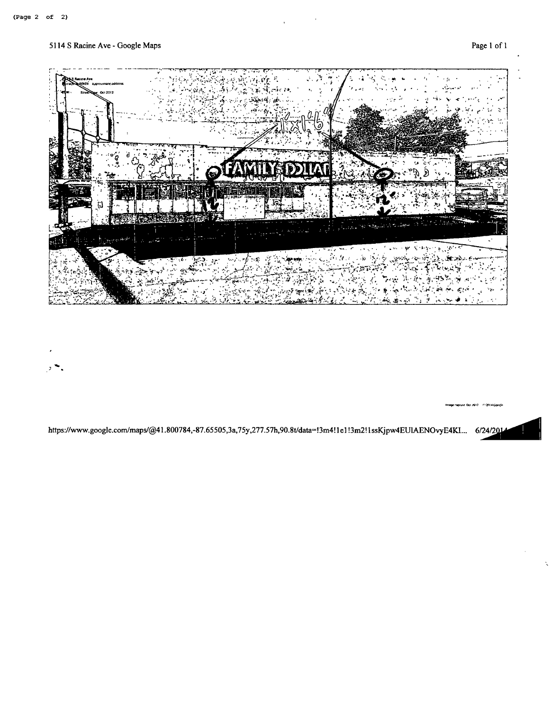

https://www.google.com/maps/@41.800784,-87.65505,3a,75y,277.57h,90.8t/data=13m4!1e1!3m2!1ssKjpw4EUIAENOvyE4KI... 6/24/201